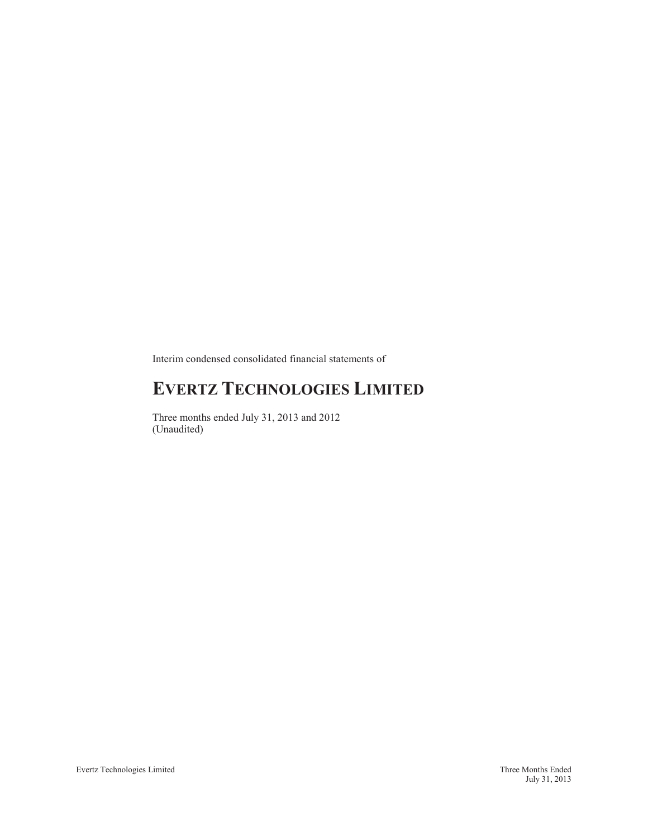Interim condensed consolidated financial statements of

# **EVERTZ TECHNOLOGIES LIMITED**

Three months ended July 31, 2013 and 2012 (Unaudited)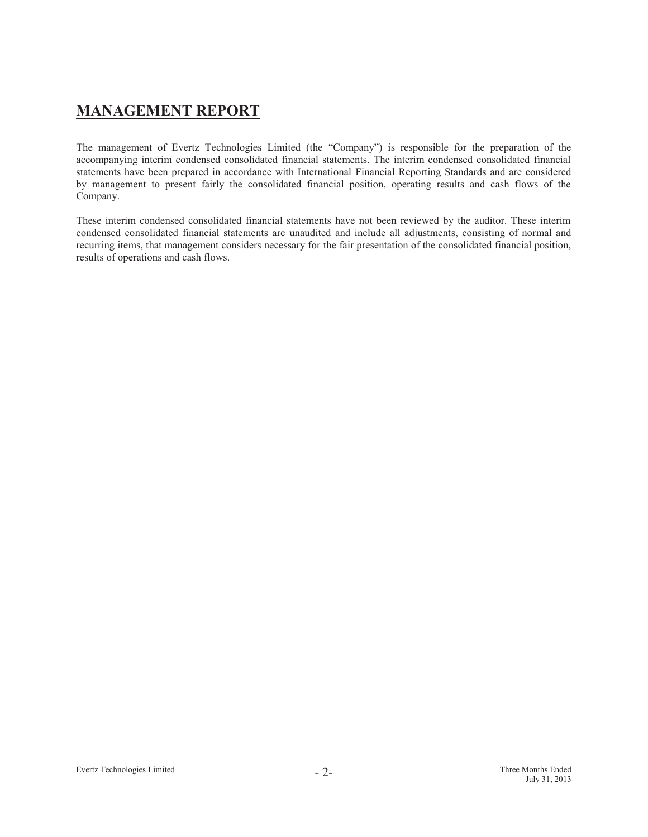# **MANAGEMENT REPORT**

The management of Evertz Technologies Limited (the "Company") is responsible for the preparation of the accompanying interim condensed consolidated financial statements. The interim condensed consolidated financial statements have been prepared in accordance with International Financial Reporting Standards and are considered by management to present fairly the consolidated financial position, operating results and cash flows of the Company.

These interim condensed consolidated financial statements have not been reviewed by the auditor. These interim condensed consolidated financial statements are unaudited and include all adjustments, consisting of normal and recurring items, that management considers necessary for the fair presentation of the consolidated financial position, results of operations and cash flows.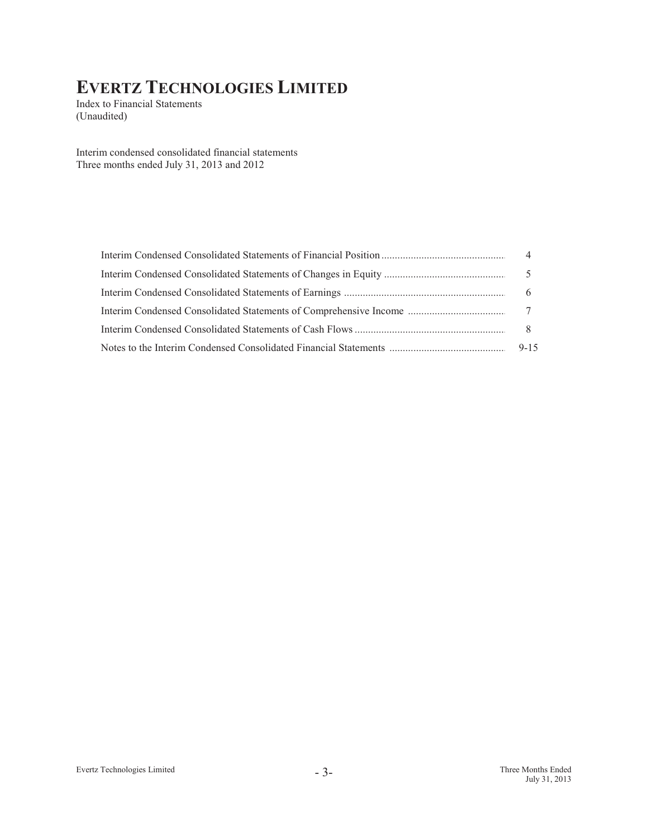Index to Financial Statements (Unaudited)

Interim condensed consolidated financial statements Three months ended July 31, 2013 and 2012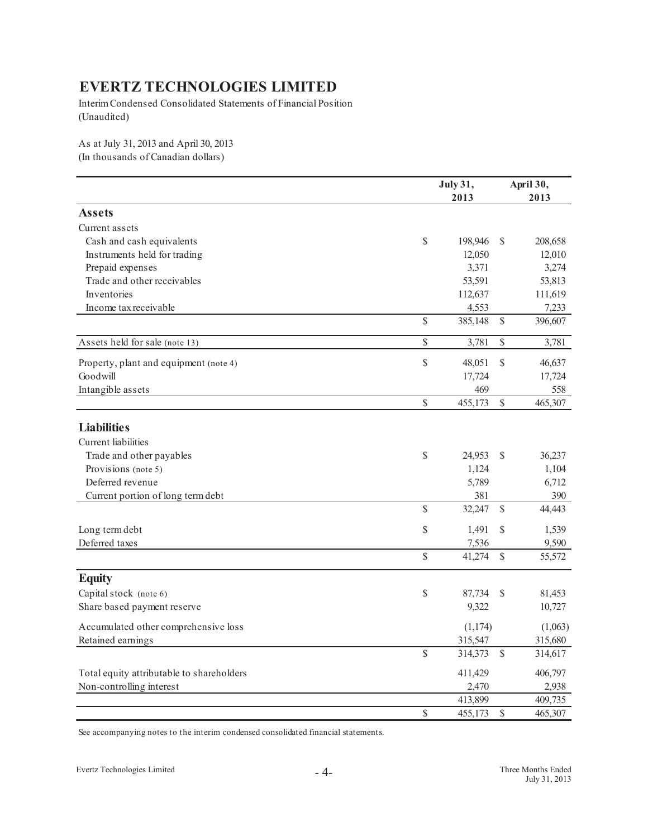Interim Condensed Consolidated Statements of Financial Position (Unaudited)

As at July 31, 2013 and April 30, 2013 (In thousands of Canadian dollars)

|                                           | <b>July 31,</b> |               | April 30, |
|-------------------------------------------|-----------------|---------------|-----------|
|                                           | 2013            |               | 2013      |
| <b>Assets</b>                             |                 |               |           |
| Current assets                            |                 |               |           |
| Cash and cash equivalents                 | \$<br>198,946   | \$            | 208,658   |
| Instruments held for trading              | 12,050          |               | 12,010    |
| Prepaid expenses                          | 3,371           |               | 3,274     |
| Trade and other receivables               | 53,591          |               | 53,813    |
| Inventories                               | 112,637         |               | 111,619   |
| Income tax receivable                     | 4,553           |               | 7,233     |
|                                           | \$<br>385,148   | $\mathbb{S}$  | 396,607   |
| Assets held for sale (note 13)            | \$<br>3,781     | $\mathbb{S}$  | 3,781     |
| Property, plant and equipment (note 4)    | \$<br>48,051    | \$            | 46,637    |
| Goodwill                                  | 17,724          |               | 17,724    |
| Intangible assets                         | 469             |               | 558       |
|                                           | \$<br>455,173   | $\mathbb{S}$  | 465,307   |
| <b>Liabilities</b>                        |                 |               |           |
| Current liabilities                       |                 |               |           |
| Trade and other payables                  | \$<br>24,953    | <sup>S</sup>  | 36,237    |
| Provisions (note 5)                       | 1,124           |               | 1,104     |
| Deferred revenue                          | 5,789           |               | 6,712     |
| Current portion of long term debt         | 381             |               | 390       |
|                                           | \$<br>32,247    | \$            | 44,443    |
|                                           |                 |               |           |
| Long term debt                            | \$<br>1,491     | \$            | 1,539     |
| Deferred taxes                            | 7,536           |               | 9,590     |
|                                           | \$<br>41,274    | $\mathbb{S}$  | 55,572    |
| <b>Equity</b>                             |                 |               |           |
| Capital stock (note 6)                    | \$<br>87,734    | S             | 81,453    |
| Share based payment reserve               | 9,322           |               | 10,727    |
| Accumulated other comprehensive loss      | (1, 174)        |               | (1,063)   |
| Retained earnings                         | 315,547         |               | 315,680   |
|                                           | \$<br>314,373   | $\mathcal{S}$ | 314,617   |
| Total equity attributable to shareholders | 411,429         |               | 406,797   |
| Non-controlling interest                  | 2,470           |               | 2,938     |
|                                           | 413,899         |               | 409,735   |
|                                           | \$<br>455,173   | $\mathcal{S}$ | 465,307   |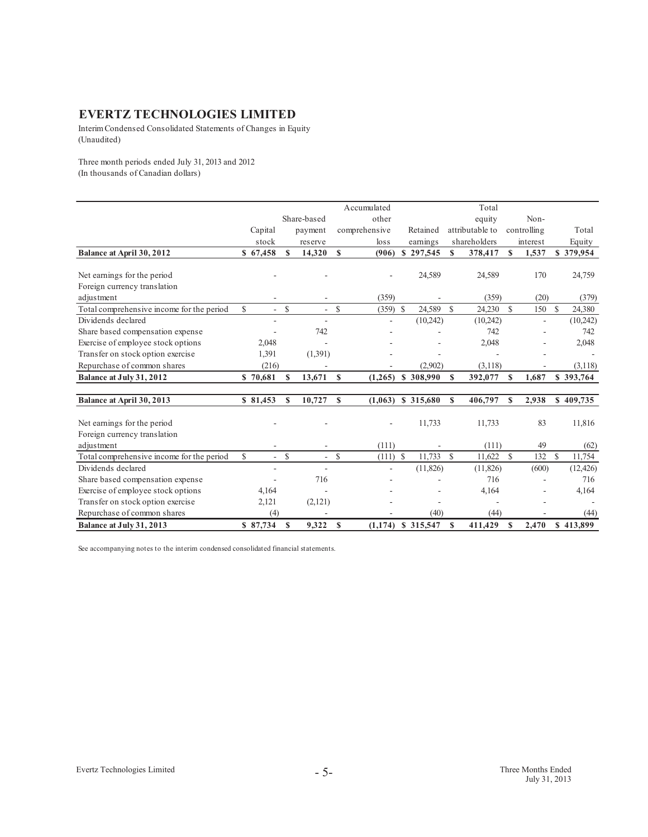Interim Condensed Consolidated Statements of Changes in Equity (Unaudited)

Three month periods ended July 31, 2013 and 2012 (In thousands of Canadian dollars)

|                                           |                                    |               |             |              | Accumulated   |                      |               | Total           |               |             |               |           |
|-------------------------------------------|------------------------------------|---------------|-------------|--------------|---------------|----------------------|---------------|-----------------|---------------|-------------|---------------|-----------|
|                                           |                                    |               | Share-based |              | other         |                      |               | equity          |               | Non-        |               |           |
|                                           | Capital                            |               | payment     |              | comprehensive | Retained             |               | attributable to |               | controlling |               | Total     |
|                                           | stock                              |               | reserve     |              | loss          | earnings             |               | shareholders    |               | interest    |               | Equity    |
| Balance at April 30, 2012                 | \$67,458                           | \$.           | 14,320      | <b>S</b>     | (906)         | \$297,545            | $\mathbf{s}$  | 378,417         | $\mathbf{s}$  | 1,537       |               | \$379,954 |
|                                           |                                    |               |             |              |               |                      |               |                 |               |             |               |           |
| Net earnings for the period               |                                    |               |             |              |               | 24,589               |               | 24,589          |               | 170         |               | 24,759    |
| Foreign currency translation              |                                    |               |             |              |               |                      |               |                 |               |             |               |           |
| adjustment                                |                                    |               |             |              | (359)         |                      |               | (359)           |               | (20)        |               | (379)     |
| Total comprehensive income for the period | \$.<br>$\mathcal{L}_{\mathcal{A}}$ | <sup>\$</sup> |             | $\mathbb{S}$ | $(359)$ \$    | 24,589               | $\mathcal{S}$ | 24,230          | $\mathcal{S}$ | 150         | $\mathbb{S}$  | 24,380    |
| Dividends declared                        | ٠                                  |               |             |              |               | (10,242)             |               | (10,242)        |               |             |               | (10,242)  |
| Share based compensation expense          |                                    |               | 742         |              |               |                      |               | 742             |               |             |               | 742       |
| Exercise of employee stock options        | 2,048                              |               |             |              |               |                      |               | 2,048           |               |             |               | 2,048     |
| Transfer on stock option exercise         | 1,391                              |               | (1,391)     |              |               |                      |               |                 |               |             |               |           |
| Repurchase of common shares               | (216)                              |               |             |              |               | (2,902)              |               | (3,118)         |               |             |               | (3,118)   |
| Balance at July 31, 2012                  | \$70,681                           | S             | 13,671      | S            | (1,265)       | \$308,990            | S             | 392,077         | S             | 1,687       |               | \$393,764 |
|                                           |                                    |               |             |              |               |                      |               |                 |               |             |               |           |
| Balance at April 30, 2013                 | \$81,453                           | S             | 10,727      | \$           | (1,063)       | \$315,680            | S             | 406,797         | S             | 2,938       |               | \$409,735 |
|                                           |                                    |               |             |              |               |                      |               |                 |               |             |               |           |
| Net earnings for the period               |                                    |               |             |              |               | 11,733               |               | 11,733          |               | 83          |               | 11,816    |
| Foreign currency translation              |                                    |               |             |              |               |                      |               |                 |               |             |               |           |
| adjustment                                |                                    |               |             |              | (111)         |                      |               | (111)           |               | 49          |               | (62)      |
| Total comprehensive income for the period | \$<br>$\sim$                       | $\mathcal{S}$ | $\sim$      | $\mathbb{S}$ | $(111)$ \$    | 11,733               | $\mathcal{S}$ | 11,622          | <sup>\$</sup> | 132         | <sup>\$</sup> | 11,754    |
| Dividends declared                        | ٠                                  |               | $\sim$      |              |               | (11, 826)            |               | (11,826)        |               | (600)       |               | (12, 426) |
| Share based compensation expense          |                                    |               | 716         |              |               |                      |               | 716             |               |             |               | 716       |
| Exercise of employee stock options        | 4,164                              |               |             |              |               |                      |               | 4,164           |               |             |               | 4,164     |
| Transfer on stock option exercise         | 2,121                              |               | (2,121)     |              |               |                      |               |                 |               |             |               |           |
| Repurchase of common shares               | (4)                                |               |             |              |               | (40)                 |               | (44)            |               |             |               | (44)      |
| Balance at July 31, 2013                  | \$87,734                           | S             | 9,322       | $\mathbf{s}$ |               | $(1,174)$ \$ 315,547 | $\mathbf{s}$  | 411,429         | S             | 2.470       |               | \$413,899 |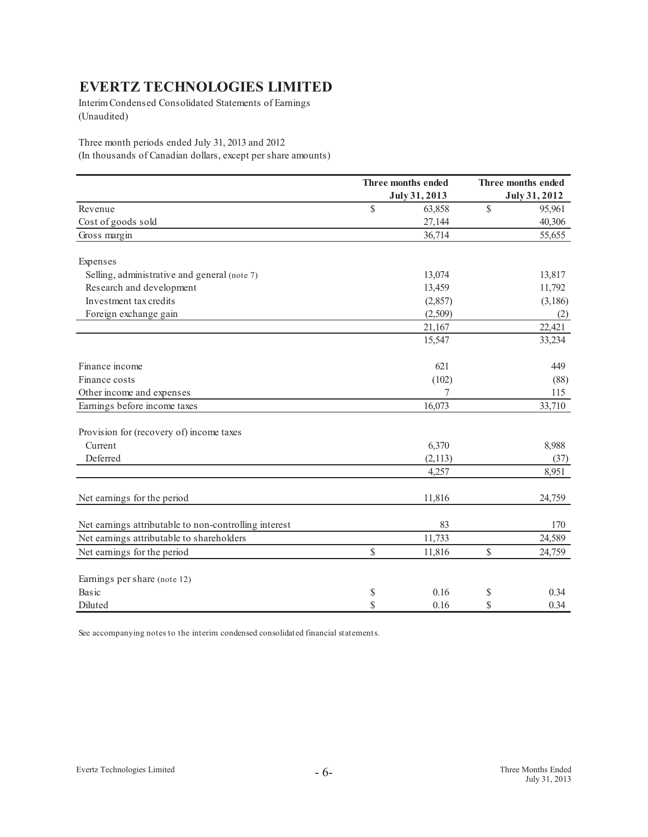Interim Condensed Consolidated Statements of Earnings (Unaudited)

Three month periods ended July 31, 2013 and 2012 (In thousands of Canadian dollars, except per share amounts)

|                                                       |              | Three months ended |              | Three months ended |
|-------------------------------------------------------|--------------|--------------------|--------------|--------------------|
|                                                       |              | July 31, 2013      |              | July 31, 2012      |
| Revenue                                               | $\mathbb{S}$ | 63,858             | $\mathbb{S}$ | 95,961             |
| Cost of goods sold                                    |              | 27,144             |              | 40,306             |
| Gross margin                                          |              | 36,714             |              | 55,655             |
| Expenses                                              |              |                    |              |                    |
| Selling, administrative and general (note 7)          |              | 13,074             |              | 13,817             |
| Research and development                              |              | 13,459             |              | 11,792             |
| Investment tax credits                                |              | (2,857)            |              | (3,186)            |
| Foreign exchange gain                                 |              | (2,509)            |              | (2)                |
|                                                       |              | 21,167             |              | 22,421             |
|                                                       |              | 15,547             |              | 33,234             |
| Finance income                                        |              | 621                |              | 449                |
| Finance costs                                         |              | (102)              |              | (88)               |
| Other income and expenses                             |              |                    |              | 115                |
| Earnings before income taxes                          |              | 16,073             |              | 33,710             |
| Provision for (recovery of) income taxes              |              |                    |              |                    |
| Current                                               |              | 6,370              |              | 8,988              |
| Deferred                                              |              | (2,113)            |              | (37)               |
|                                                       |              | 4,257              |              | 8,951              |
| Net earnings for the period                           |              | 11,816             |              | 24,759             |
| Net earnings attributable to non-controlling interest |              | 83                 |              | 170                |
| Net earnings attributable to shareholders             |              | 11,733             |              | 24,589             |
| Net earnings for the period                           | $\mathbb{S}$ | 11,816             | \$           | 24,759             |
| Earnings per share (note 12)                          |              |                    |              |                    |
| Basic                                                 | \$           | 0.16               | \$           | 0.34               |
| Diluted                                               | S            | 0.16               | \$           | 0.34               |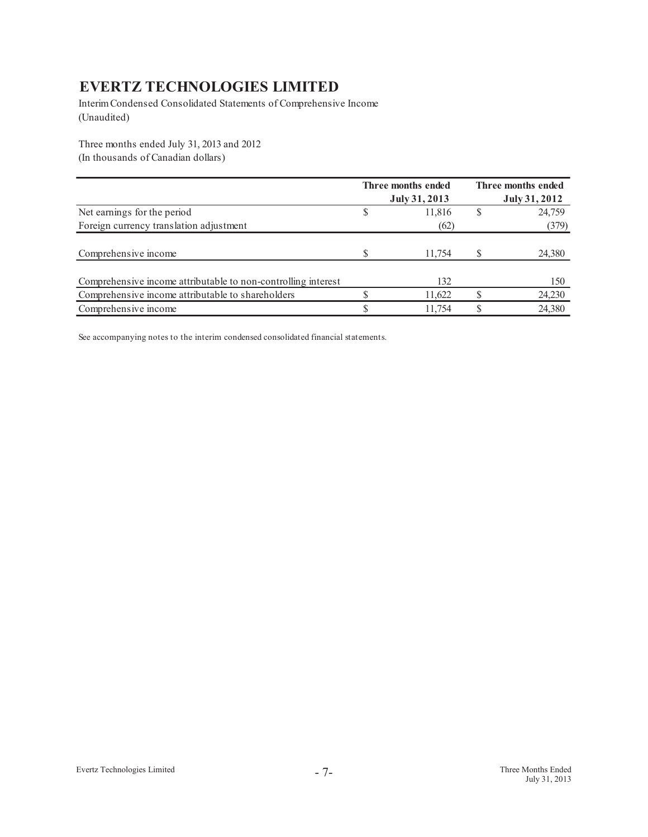Interim Condensed Consolidated Statements of Comprehensive Income (Unaudited)

Three months ended July 31, 2013 and 2012 (In thousands of Canadian dollars)

|                                                               | Three months ended<br>July 31, 2013 | Three months ended<br>July 31, 2012 |
|---------------------------------------------------------------|-------------------------------------|-------------------------------------|
| Net earnings for the period                                   | 11,816                              | 24,759                              |
| Foreign currency translation adjustment                       | (62)                                | (379)                               |
| Comprehensive income                                          | 11,754                              | 24,380                              |
| Comprehensive income attributable to non-controlling interest | 132                                 | 150                                 |
| Comprehensive income attributable to shareholders             | 11.622                              | 24,230                              |
| Comprehensive income                                          | 11.754                              | 24,380                              |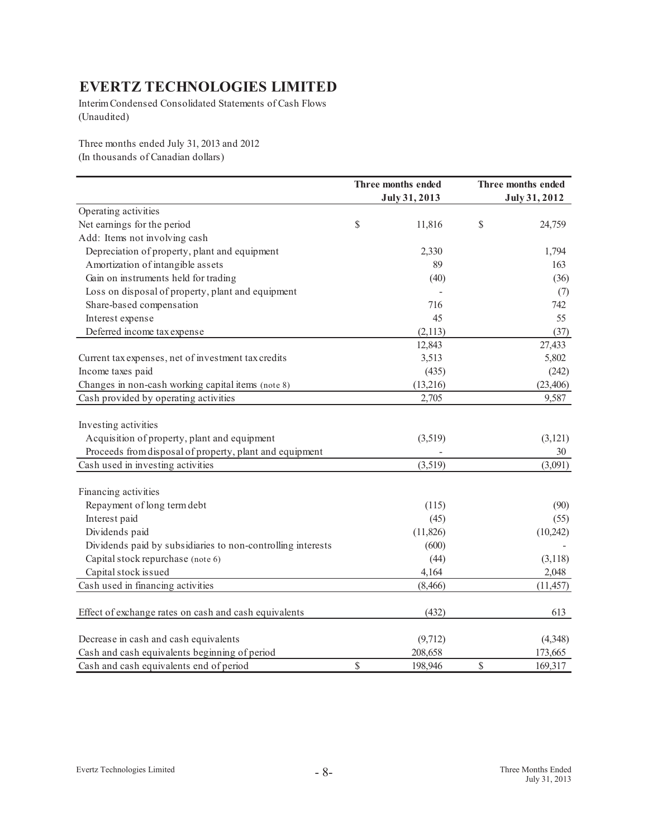Interim Condensed Consolidated Statements of Cash Flows (Unaudited)

Three months ended July 31, 2013 and 2012 (In thousands of Canadian dollars)

|                                                             | Three months ended<br>July 31, 2013 | Three months ended<br>July 31, 2012 |
|-------------------------------------------------------------|-------------------------------------|-------------------------------------|
| Operating activities                                        |                                     |                                     |
| Net earnings for the period                                 | \$<br>11,816                        | \$<br>24,759                        |
| Add: Items not involving cash                               |                                     |                                     |
| Depreciation of property, plant and equipment               | 2,330                               | 1,794                               |
| Amortization of intangible assets                           | 89                                  | 163                                 |
| Gain on instruments held for trading                        | (40)                                | (36)                                |
| Loss on disposal of property, plant and equipment           |                                     | (7)                                 |
| Share-based compensation                                    | 716                                 | 742                                 |
| Interest expense                                            | 45                                  | 55                                  |
| Deferred income tax expense                                 | (2,113)                             | (37)                                |
|                                                             | 12,843                              | 27,433                              |
| Current tax expenses, net of investment tax credits         | 3,513                               | 5,802                               |
| Income taxes paid                                           | (435)                               | (242)                               |
| Changes in non-cash working capital items (note 8)          | (13,216)                            | (23, 406)                           |
| Cash provided by operating activities                       | 2,705                               | 9,587                               |
| Investing activities                                        |                                     |                                     |
| Acquisition of property, plant and equipment                | (3,519)                             | (3, 121)                            |
| Proceeds from disposal of property, plant and equipment     |                                     | 30                                  |
| Cash used in investing activities                           | (3,519)                             | (3,091)                             |
|                                                             |                                     |                                     |
| Financing activities                                        |                                     |                                     |
| Repayment of long term debt                                 | (115)                               | (90)                                |
| Interest paid                                               | (45)                                | (55)                                |
| Dividends paid                                              | (11,826)                            | (10, 242)                           |
| Dividends paid by subsidiaries to non-controlling interests | (600)                               |                                     |
| Capital stock repurchase (note 6)                           | (44)                                | (3,118)                             |
| Capital stock issued                                        | 4,164                               | 2,048                               |
| Cash used in financing activities                           | (8, 466)                            | (11, 457)                           |
| Effect of exchange rates on cash and cash equivalents       | (432)                               | 613                                 |
|                                                             |                                     |                                     |
| Decrease in cash and cash equivalents                       | (9,712)                             | (4,348)                             |
| Cash and cash equivalents beginning of period               | 208,658                             | 173,665                             |
| Cash and cash equivalents end of period                     | \$<br>198,946                       | \$<br>169,317                       |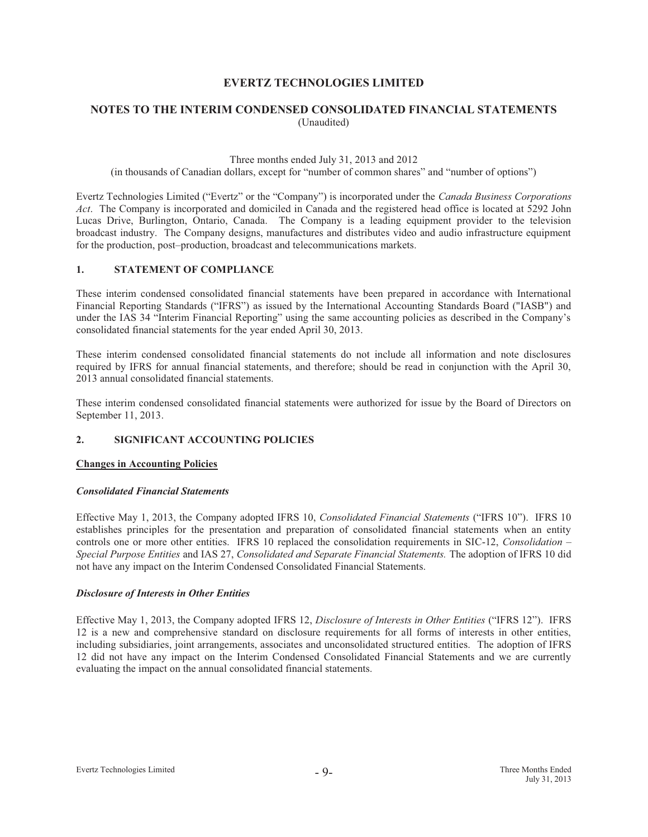# **NOTES TO THE INTERIM CONDENSED CONSOLIDATED FINANCIAL STATEMENTS**  (Unaudited)

#### Three months ended July 31, 2013 and 2012

(in thousands of Canadian dollars, except for "number of common shares" and "number of options")

Evertz Technologies Limited ("Evertz" or the "Company") is incorporated under the *Canada Business Corporations Act*. The Company is incorporated and domiciled in Canada and the registered head office is located at 5292 John Lucas Drive, Burlington, Ontario, Canada. The Company is a leading equipment provider to the television broadcast industry. The Company designs, manufactures and distributes video and audio infrastructure equipment for the production, post–production, broadcast and telecommunications markets.

#### **1. STATEMENT OF COMPLIANCE**

These interim condensed consolidated financial statements have been prepared in accordance with International Financial Reporting Standards ("IFRS") as issued by the International Accounting Standards Board ("IASB") and under the IAS 34 "Interim Financial Reporting" using the same accounting policies as described in the Company's consolidated financial statements for the year ended April 30, 2013.

These interim condensed consolidated financial statements do not include all information and note disclosures required by IFRS for annual financial statements, and therefore; should be read in conjunction with the April 30, 2013 annual consolidated financial statements.

These interim condensed consolidated financial statements were authorized for issue by the Board of Directors on September 11, 2013.

### **2. SIGNIFICANT ACCOUNTING POLICIES**

#### **Changes in Accounting Policies**

#### *Consolidated Financial Statements*

Effective May 1, 2013, the Company adopted IFRS 10, *Consolidated Financial Statements* ("IFRS 10"). IFRS 10 establishes principles for the presentation and preparation of consolidated financial statements when an entity controls one or more other entities. IFRS 10 replaced the consolidation requirements in SIC-12, *Consolidation – Special Purpose Entities* and IAS 27, *Consolidated and Separate Financial Statements.* The adoption of IFRS 10 did not have any impact on the Interim Condensed Consolidated Financial Statements.

#### *Disclosure of Interests in Other Entities*

Effective May 1, 2013, the Company adopted IFRS 12, *Disclosure of Interests in Other Entities* ("IFRS 12"). IFRS 12 is a new and comprehensive standard on disclosure requirements for all forms of interests in other entities, including subsidiaries, joint arrangements, associates and unconsolidated structured entities. The adoption of IFRS 12 did not have any impact on the Interim Condensed Consolidated Financial Statements and we are currently evaluating the impact on the annual consolidated financial statements.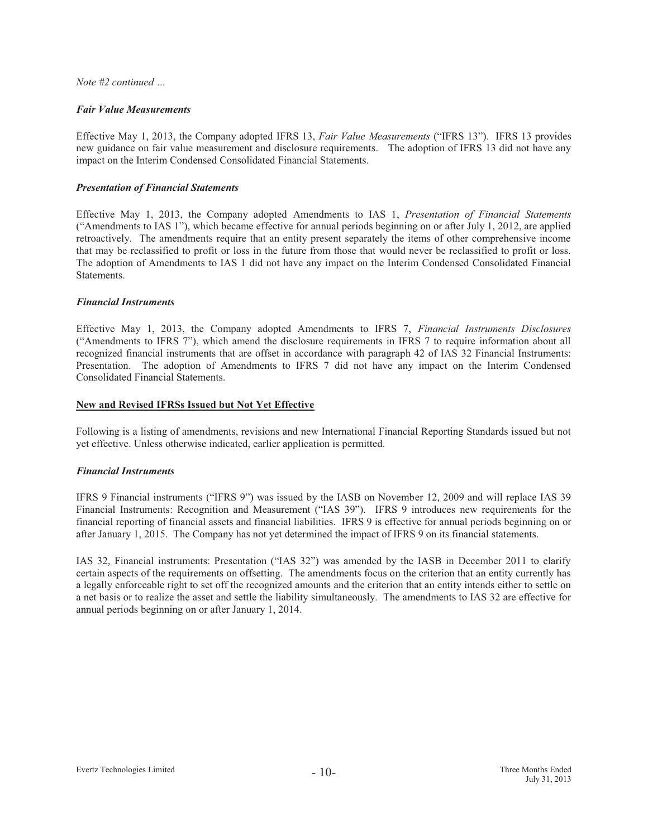#### *Note #2 continued …*

#### *Fair Value Measurements*

Effective May 1, 2013, the Company adopted IFRS 13, *Fair Value Measurements* ("IFRS 13"). IFRS 13 provides new guidance on fair value measurement and disclosure requirements. The adoption of IFRS 13 did not have any impact on the Interim Condensed Consolidated Financial Statements.

#### *Presentation of Financial Statements*

Effective May 1, 2013, the Company adopted Amendments to IAS 1, *Presentation of Financial Statements*  ("Amendments to IAS 1"), which became effective for annual periods beginning on or after July 1, 2012, are applied retroactively. The amendments require that an entity present separately the items of other comprehensive income that may be reclassified to profit or loss in the future from those that would never be reclassified to profit or loss. The adoption of Amendments to IAS 1 did not have any impact on the Interim Condensed Consolidated Financial Statements.

#### *Financial Instruments*

Effective May 1, 2013, the Company adopted Amendments to IFRS 7, *Financial Instruments Disclosures* ("Amendments to IFRS 7"), which amend the disclosure requirements in IFRS 7 to require information about all recognized financial instruments that are offset in accordance with paragraph 42 of IAS 32 Financial Instruments: Presentation. The adoption of Amendments to IFRS 7 did not have any impact on the Interim Condensed Consolidated Financial Statements.

#### **New and Revised IFRSs Issued but Not Yet Effective**

Following is a listing of amendments, revisions and new International Financial Reporting Standards issued but not yet effective. Unless otherwise indicated, earlier application is permitted.

#### *Financial Instruments*

IFRS 9 Financial instruments ("IFRS 9") was issued by the IASB on November 12, 2009 and will replace IAS 39 Financial Instruments: Recognition and Measurement ("IAS 39"). IFRS 9 introduces new requirements for the financial reporting of financial assets and financial liabilities. IFRS 9 is effective for annual periods beginning on or after January 1, 2015. The Company has not yet determined the impact of IFRS 9 on its financial statements.

IAS 32, Financial instruments: Presentation ("IAS 32") was amended by the IASB in December 2011 to clarify certain aspects of the requirements on offsetting. The amendments focus on the criterion that an entity currently has a legally enforceable right to set off the recognized amounts and the criterion that an entity intends either to settle on a net basis or to realize the asset and settle the liability simultaneously. The amendments to IAS 32 are effective for annual periods beginning on or after January 1, 2014.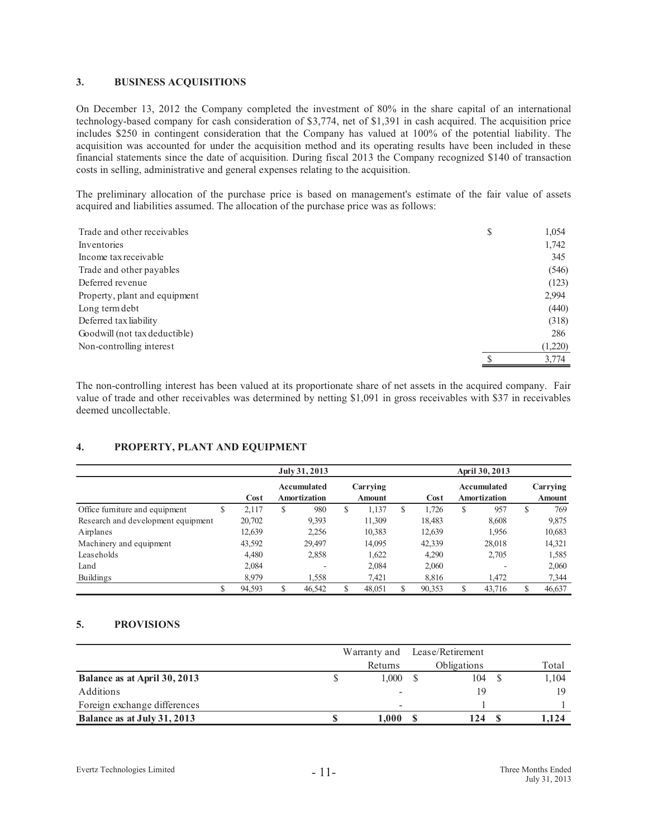#### **3. BUSINESS ACQUISITIONS**

On December 13, 2012 the Company completed the investment of 80% in the share capital of an international technology-based company for cash consideration of \$3,774, net of \$1,391 in cash acquired. The acquisition price includes \$250 in contingent consideration that the Company has valued at 100% of the potential liability. The acquisition was accounted for under the acquisition method and its operating results have been included in these financial statements since the date of acquisition. During fiscal 2013 the Company recognized \$140 of transaction costs in selling, administrative and general expenses relating to the acquisition.

The preliminary allocation of the purchase price is based on management's estimate of the fair value of assets acquired and liabilities assumed. The allocation of the purchase price was as follows:

| Trade and other receivables   | \$<br>1,054 |
|-------------------------------|-------------|
| Inventories                   | 1,742       |
| Income tax receivable         | 345         |
| Trade and other payables      | (546)       |
| Deferred revenue              | (123)       |
| Property, plant and equipment | 2,994       |
| Long term debt                | (440)       |
| Deferred tax liability        | (318)       |
| Goodwill (not tax deductible) | 286         |
| Non-controlling interest      | (1,220)     |
|                               | 3,774       |

The non-controlling interest has been valued at its proportionate share of net assets in the acquired company. Fair value of trade and other receivables was determined by netting \$1,091 in gross receivables with \$37 in receivables deemed uncollectable.

### **4. PROPERTY, PLANT AND EQUIPMENT**

|                                    | July 31, 2013 |        |   |                             |    |                           |     | April 30, 2013 |   |                             |   |                           |  |
|------------------------------------|---------------|--------|---|-----------------------------|----|---------------------------|-----|----------------|---|-----------------------------|---|---------------------------|--|
|                                    |               | Cost   |   | Accumulated<br>Amortization |    | Carrying<br><b>Amount</b> |     | Cost           |   | Accumulated<br>Amortization |   | Carrying<br><b>Amount</b> |  |
| Office furniture and equipment     | S             | 2,117  | S | 980                         | \$ | 1,137                     | \$. | 1.726          | S | 957                         | S | 769                       |  |
| Research and development equipment |               | 20,702 |   | 9,393                       |    | 11,309                    |     | 18,483         |   | 8,608                       |   | 9,875                     |  |
| Airplanes                          |               | 12,639 |   | 2,256                       |    | 10,383                    |     | 12,639         |   | 1,956                       |   | 10,683                    |  |
| Machinery and equipment            |               | 43,592 |   | 29,497                      |    | 14,095                    |     | 42,339         |   | 28,018                      |   | 14,321                    |  |
| Leaseholds                         |               | 4.480  |   | 2,858                       |    | 1,622                     |     | 4.290          |   | 2,705                       |   | 1,585                     |  |
| Land                               |               | 2,084  |   | -                           |    | 2,084                     |     | 2,060          |   | $\overline{\phantom{a}}$    |   | 2,060                     |  |
| Buildings                          |               | 8.979  |   | 1.558                       |    | 7,421                     |     | 8,816          |   | 1,472                       |   | 7,344                     |  |
|                                    | ۰D.           | 94,593 |   | 46,542                      |    | 48,051                    |     | 90,353         | S | 43,716                      |   | 46,637                    |  |

### **5. PROVISIONS**

|                              | Warranty and             | Lease/Retirement   |       |
|------------------------------|--------------------------|--------------------|-------|
|                              | Returns                  | <b>Obligations</b> | Total |
| Balance as at April 30, 2013 | 1.000                    | 104                | 1,104 |
| Additions                    | $\overline{\phantom{a}}$ | 19                 |       |
| Foreign exchange differences | $\overline{\phantom{a}}$ |                    |       |
| Balance as at July 31, 2013  | 1.000                    | 124                | 1.124 |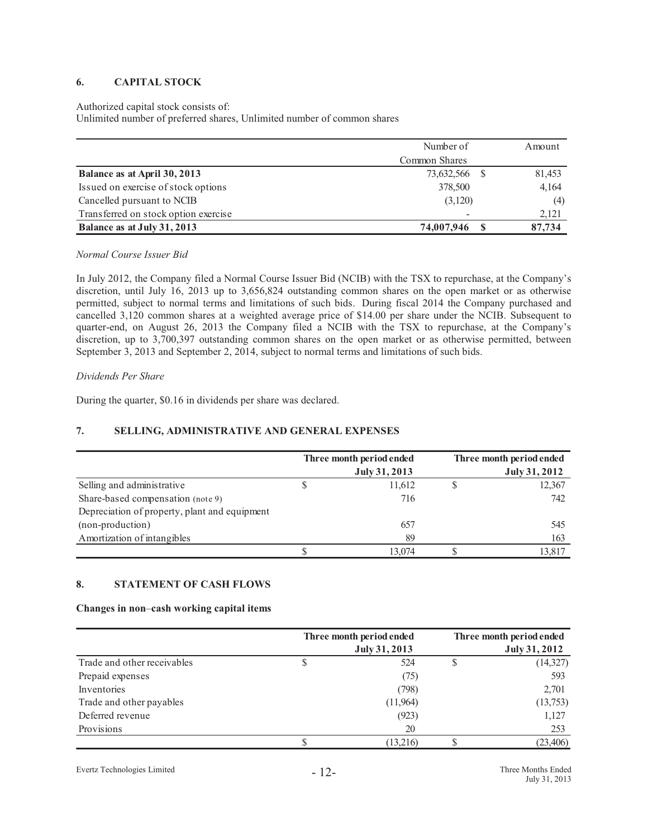# **6. CAPITAL STOCK**

#### Authorized capital stock consists of:

Unlimited number of preferred shares, Unlimited number of common shares

|                                      | Number of     | Amount |
|--------------------------------------|---------------|--------|
|                                      | Common Shares |        |
| Balance as at April 30, 2013         | 73,632,566 \$ | 81,453 |
| Issued on exercise of stock options  | 378,500       | 4,164  |
| Cancelled pursuant to NCIB           | (3,120)       | (4)    |
| Transferred on stock option exercise |               | 2,121  |
| Balance as at July 31, 2013          | 74,007,946    | 87,734 |

#### *Normal Course Issuer Bid*

In July 2012, the Company filed a Normal Course Issuer Bid (NCIB) with the TSX to repurchase, at the Company's discretion, until July 16, 2013 up to 3,656,824 outstanding common shares on the open market or as otherwise permitted, subject to normal terms and limitations of such bids. During fiscal 2014 the Company purchased and cancelled 3,120 common shares at a weighted average price of \$14.00 per share under the NCIB. Subsequent to quarter-end, on August 26, 2013 the Company filed a NCIB with the TSX to repurchase, at the Company's discretion, up to 3,700,397 outstanding common shares on the open market or as otherwise permitted, between September 3, 2013 and September 2, 2014, subject to normal terms and limitations of such bids.

*Dividends Per Share* 

During the quarter, \$0.16 in dividends per share was declared.

# **7. SELLING, ADMINISTRATIVE AND GENERAL EXPENSES**

|                                               | Three month period ended | Three month period ended |
|-----------------------------------------------|--------------------------|--------------------------|
|                                               | July 31, 2013            | July 31, 2012            |
| Selling and administrative                    | 11,612                   | 12,367                   |
| Share-based compensation (note 9)             | 716                      | 742                      |
| Depreciation of property, plant and equipment |                          |                          |
| (non-production)                              | 657                      | 545                      |
| Amortization of intangibles                   | 89                       | 163                      |
|                                               | 13.074                   | 13,817                   |

### **8. STATEMENT OF CASH FLOWS**

#### **Changes in non**–**cash working capital items**

|                             |   | Three month period ended | Three month period ended |
|-----------------------------|---|--------------------------|--------------------------|
|                             |   | July 31, 2013            | July 31, 2012            |
| Trade and other receivables | S | 524                      | (14, 327)                |
| Prepaid expenses            |   | (75)                     | 593                      |
| Inventories                 |   | (798)                    | 2,701                    |
| Trade and other payables    |   | (11,964)                 | (13, 753)                |
| Deferred revenue            |   | (923)                    | 1,127                    |
| Provisions                  |   | 20                       | 253                      |
|                             |   | (13,216)                 | (23, 406)                |

Evertz Technologies Limited - 12- Three Months Ended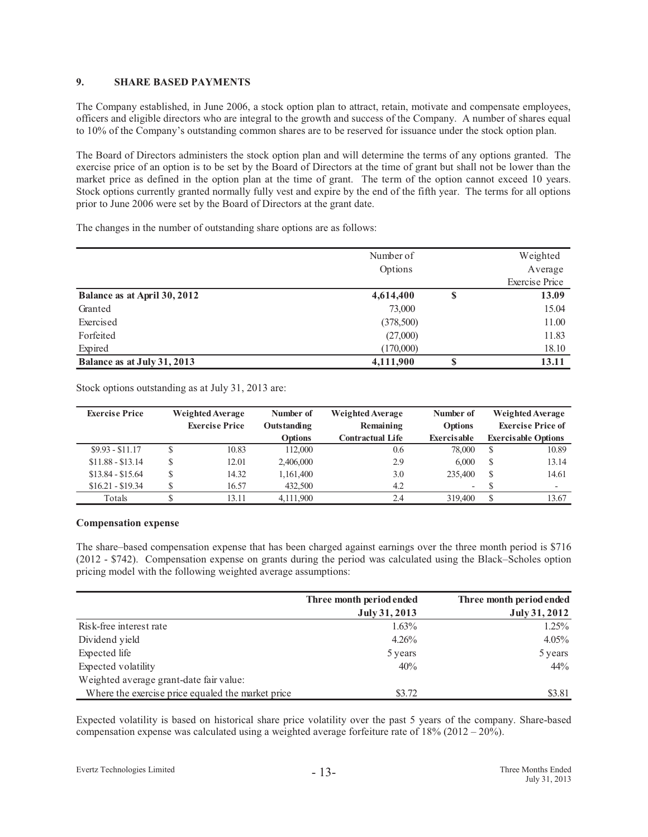# **9. SHARE BASED PAYMENTS**

The Company established, in June 2006, a stock option plan to attract, retain, motivate and compensate employees, officers and eligible directors who are integral to the growth and success of the Company. A number of shares equal to 10% of the Company's outstanding common shares are to be reserved for issuance under the stock option plan.

The Board of Directors administers the stock option plan and will determine the terms of any options granted. The exercise price of an option is to be set by the Board of Directors at the time of grant but shall not be lower than the market price as defined in the option plan at the time of grant. The term of the option cannot exceed 10 years. Stock options currently granted normally fully vest and expire by the end of the fifth year. The terms for all options prior to June 2006 were set by the Board of Directors at the grant date.

The changes in the number of outstanding share options are as follows:

|                              | Number of<br>Options |        | Weighted<br>Average   |
|------------------------------|----------------------|--------|-----------------------|
|                              |                      |        | <b>Exercise Price</b> |
| Balance as at April 30, 2012 | 4,614,400            | \$     | 13.09                 |
| Granted                      | 73,000               |        | 15.04                 |
| Exercised                    | (378,500)            |        | 11.00                 |
| Forfeited                    | (27,000)             |        | 11.83                 |
| Expired                      | (170,000)            |        | 18.10                 |
| Balance as at July 31, 2013  | 4,111,900            | ወ<br>Φ | 13.11                 |

Stock options outstanding as at July 31, 2013 are:

| <b>Exercise Price</b> | <b>Weighted Average</b><br><b>Exercise Price</b> |       | Number of<br>Outstanding | <b>Weighted Average</b><br>Remaining | Number of<br><b>Options</b> | <b>Weighted Average</b><br><b>Exercise Price of</b> |                            |
|-----------------------|--------------------------------------------------|-------|--------------------------|--------------------------------------|-----------------------------|-----------------------------------------------------|----------------------------|
|                       |                                                  |       | <b>Options</b>           | <b>Contractual Life</b>              | <b>Exercisable</b>          |                                                     | <b>Exercisable Options</b> |
| $$9.93 - $11.17$      | S                                                | 10.83 | 112,000                  | 0.6                                  | 78,000                      | S                                                   | 10.89                      |
| $$11.88 - $13.14$     | S                                                | 12.01 | 2,406,000                | 2.9                                  | 6,000                       | S                                                   | 13.14                      |
| $$13.84 - $15.64$     | \$                                               | 14.32 | 1,161,400                | 3.0                                  | 235,400                     | <sup>\$</sup>                                       | 14.61                      |
| $$16.21 - $19.34$     |                                                  | 16.57 | 432,500                  | 4.2                                  | $\overline{\phantom{0}}$    |                                                     | $\overline{\phantom{a}}$   |
| Totals                |                                                  | 13.11 | 4,111,900                | 2.4                                  | 319,400                     | €                                                   | 13.67                      |

#### **Compensation expense**

The share–based compensation expense that has been charged against earnings over the three month period is \$716 (2012 - \$742). Compensation expense on grants during the period was calculated using the Black–Scholes option pricing model with the following weighted average assumptions:

|                                                   | Three month period ended | Three month period ended |
|---------------------------------------------------|--------------------------|--------------------------|
|                                                   | July 31, 2013            | July 31, 2012            |
| Risk-free interest rate                           | $1.63\%$                 | $1.25\%$                 |
| Dividend yield                                    | $4.26\%$                 | $4.05\%$                 |
| Expected life                                     | 5 years                  | 5 years                  |
| Expected volatility                               | 40%                      | 44%                      |
| Weighted average grant-date fair value:           |                          |                          |
| Where the exercise price equaled the market price | \$3.72                   | \$3.81                   |

Expected volatility is based on historical share price volatility over the past 5 years of the company. Share-based compensation expense was calculated using a weighted average forfeiture rate of 18% (2012 – 20%).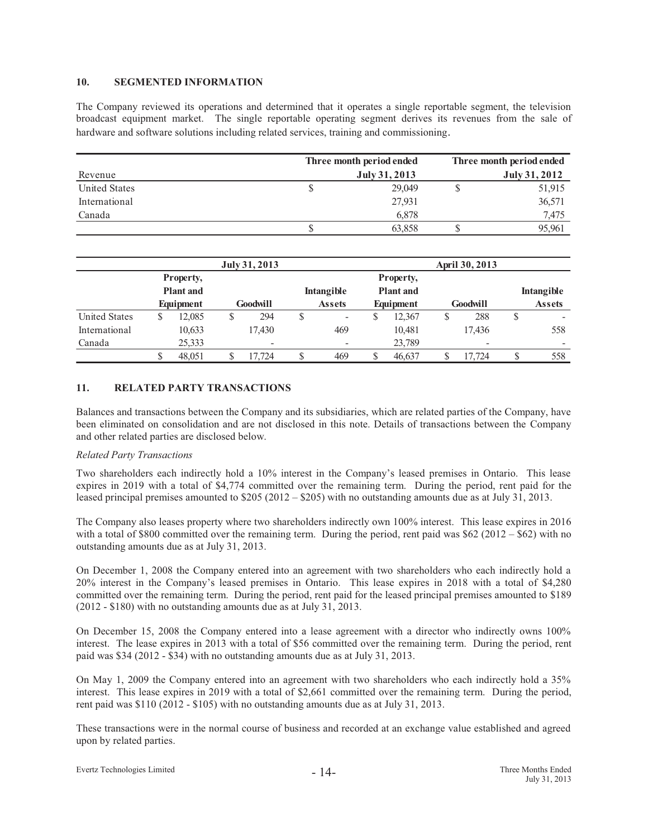#### **10. SEGMENTED INFORMATION**

The Company reviewed its operations and determined that it operates a single reportable segment, the television broadcast equipment market. The single reportable operating segment derives its revenues from the sale of hardware and software solutions including related services, training and commissioning.

|                      | Three month period ended |        | Three month period ended |        |  |  |
|----------------------|--------------------------|--------|--------------------------|--------|--|--|
| Revenue              | July 31, 2013            |        | July 31, 2012            |        |  |  |
| <b>United States</b> |                          | 29,049 |                          | 51,915 |  |  |
| International        |                          | 27,931 |                          | 36,571 |  |  |
| Canada               |                          | 6.878  |                          | 7,475  |  |  |
|                      |                          | 63,858 |                          | 95.961 |  |  |

|                      | July 31, 2013                 |           |   |          |                   |               | April 30, 2013 |                               |  |                 |            |                          |
|----------------------|-------------------------------|-----------|---|----------|-------------------|---------------|----------------|-------------------------------|--|-----------------|------------|--------------------------|
|                      | Property,<br><b>Plant</b> and |           |   |          | <b>Intangible</b> |               |                | Property,<br><b>Plant</b> and |  |                 | Intangible |                          |
|                      |                               | Equipment |   | Goodwill |                   | <b>Assets</b> |                | Equipment                     |  | <b>Goodwill</b> |            | <b>Assets</b>            |
| <b>United States</b> | S                             | 12.085    | S | 294      | ۵                 | -             |                | 12.367                        |  | 288             | \$         |                          |
| International        |                               | 10,633    |   | 17,430   |                   | 469           |                | 10,481                        |  | 17.436          |            | 558                      |
| Canada               |                               | 25,333    |   | -        |                   |               |                | 23,789                        |  | -               |            | $\overline{\phantom{a}}$ |
|                      |                               | 48.051    |   | 17.724   | J                 | 469           |                | 46,637                        |  | 17.724          |            | 558                      |

#### **11. RELATED PARTY TRANSACTIONS**

Balances and transactions between the Company and its subsidiaries, which are related parties of the Company, have been eliminated on consolidation and are not disclosed in this note. Details of transactions between the Company and other related parties are disclosed below.

#### *Related Party Transactions*

Two shareholders each indirectly hold a 10% interest in the Company's leased premises in Ontario. This lease expires in 2019 with a total of \$4,774 committed over the remaining term. During the period, rent paid for the leased principal premises amounted to \$205 (2012 – \$205) with no outstanding amounts due as at July 31, 2013.

The Company also leases property where two shareholders indirectly own 100% interest. This lease expires in 2016 with a total of \$800 committed over the remaining term. During the period, rent paid was  $$62 (2012 - $62)$  with no outstanding amounts due as at July 31, 2013.

On December 1, 2008 the Company entered into an agreement with two shareholders who each indirectly hold a 20% interest in the Company's leased premises in Ontario. This lease expires in 2018 with a total of \$4,280 committed over the remaining term. During the period, rent paid for the leased principal premises amounted to \$189 (2012 - \$180) with no outstanding amounts due as at July 31, 2013.

On December 15, 2008 the Company entered into a lease agreement with a director who indirectly owns 100% interest. The lease expires in 2013 with a total of \$56 committed over the remaining term. During the period, rent paid was \$34 (2012 - \$34) with no outstanding amounts due as at July 31, 2013.

On May 1, 2009 the Company entered into an agreement with two shareholders who each indirectly hold a 35% interest. This lease expires in 2019 with a total of \$2,661 committed over the remaining term. During the period, rent paid was \$110 (2012 - \$105) with no outstanding amounts due as at July 31, 2013.

These transactions were in the normal course of business and recorded at an exchange value established and agreed upon by related parties.